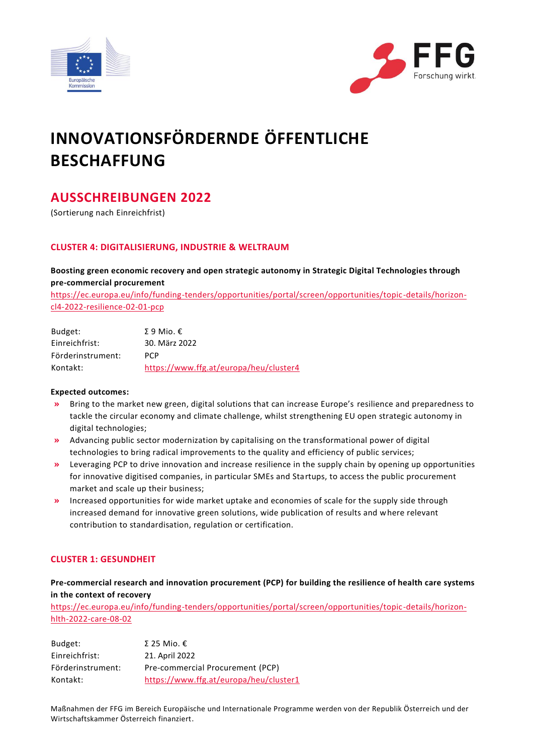



# **INNOVATIONSFÖRDERNDE ÖFFENTLICHE BESCHAFFUNG**

# **AUSSCHREIBUNGEN 2022**

(Sortierung nach Einreichfrist)

### **CLUSTER 4: DIGITALISIERUNG, INDUSTRIE & WELTRAUM**

**Boosting green economic recovery and open strategic autonomy in Strategic Digital Technologies through pre-commercial procurement** 

[https://ec.europa.eu/info/funding-tenders/opportunities/portal/screen/opportunities/topic-details/horizon](https://ec.europa.eu/info/funding-tenders/opportunities/portal/screen/opportunities/topic-details/horizon-cl4-2022-resilience-02-01-pcp)[cl4-2022-resilience-02-01-pcp](https://ec.europa.eu/info/funding-tenders/opportunities/portal/screen/opportunities/topic-details/horizon-cl4-2022-resilience-02-01-pcp)

| Budget:           | Σ 9 Mio. $ε$                           |
|-------------------|----------------------------------------|
| Einreichfrist:    | 30. März 2022                          |
| Förderinstrument: | <b>PCP</b>                             |
| Kontakt:          | https://www.ffg.at/europa/heu/cluster4 |

### **Expected outcomes:**

- **»** Bring to the market new green, digital solutions that can increase Europe's resilience and preparedness to tackle the circular economy and climate challenge, whilst strengthening EU open strategic autonomy in digital technologies;
- **»** Advancing public sector modernization by capitalising on the transformational power of digital technologies to bring radical improvements to the quality and efficiency of public services;
- **»** Leveraging PCP to drive innovation and increase resilience in the supply chain by opening up opportunities for innovative digitised companies, in particular SMEs and Startups, to access the public procurement market and scale up their business;
- **»** Increased opportunities for wide market uptake and economies of scale for the supply side through increased demand for innovative green solutions, wide publication of results and where relevant contribution to standardisation, regulation or certification.

### **CLUSTER 1: GESUNDHEIT**

### **Pre-commercial research and innovation procurement (PCP) for building the resilience of health care systems in the context of recovery**

[https://ec.europa.eu/info/funding-tenders/opportunities/portal/screen/opportunities/topic-details/horizon](https://ec.europa.eu/info/funding-tenders/opportunities/portal/screen/opportunities/topic-details/horizon-hlth-2022-care-08-02)[hlth-2022-care-08-02](https://ec.europa.eu/info/funding-tenders/opportunities/portal/screen/opportunities/topic-details/horizon-hlth-2022-care-08-02)

| Budget:           | Σ 25 Mio. $ε$                          |
|-------------------|----------------------------------------|
| Einreichfrist:    | 21. April 2022                         |
| Förderinstrument: | Pre-commercial Procurement (PCP)       |
| Kontakt:          | https://www.ffg.at/europa/heu/cluster1 |

Maßnahmen der FFG im Bereich Europäische und Internationale Programme werden von der Republik Österreich und der Wirtschaftskammer Österreich finanziert.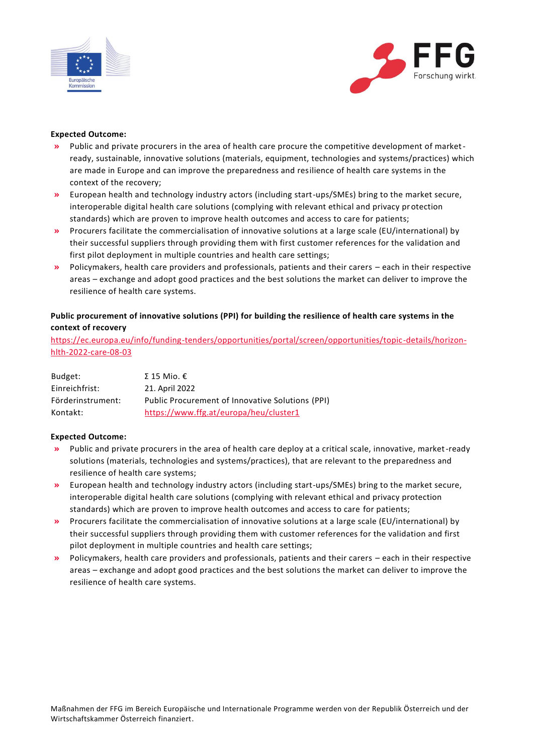



### **Expected Outcome:**

- **»** Public and private procurers in the area of health care procure the competitive development of marketready, sustainable, innovative solutions (materials, equipment, technologies and systems/practices) which are made in Europe and can improve the preparedness and resilience of health care systems in the context of the recovery;
- **»** European health and technology industry actors (including start-ups/SMEs) bring to the market secure, interoperable digital health care solutions (complying with relevant ethical and privacy protection standards) which are proven to improve health outcomes and access to care for patients;
- **»** Procurers facilitate the commercialisation of innovative solutions at a large scale (EU/international) by their successful suppliers through providing them with first customer references for the validation and first pilot deployment in multiple countries and health care settings;
- **»** Policymakers, health care providers and professionals, patients and their carers each in their respective areas – exchange and adopt good practices and the best solutions the market can deliver to improve the resilience of health care systems.

### **Public procurement of innovative solutions (PPI) for building the resilience of health care systems in the context of recovery**

[https://ec.europa.eu/info/funding-tenders/opportunities/portal/screen/opportunities/topic-details/horizon](https://ec.europa.eu/info/funding-tenders/opportunities/portal/screen/opportunities/topic-details/horizon-hlth-2022-care-08-03)[hlth-2022-care-08-03](https://ec.europa.eu/info/funding-tenders/opportunities/portal/screen/opportunities/topic-details/horizon-hlth-2022-care-08-03)

| Budget:           | Σ 15 Mio. $ε$                                    |
|-------------------|--------------------------------------------------|
| Einreichfrist:    | 21. April 2022                                   |
| Förderinstrument: | Public Procurement of Innovative Solutions (PPI) |
| Kontakt:          | https://www.ffg.at/europa/heu/cluster1           |

### **Expected Outcome:**

- **»** Public and private procurers in the area of health care deploy at a critical scale, innovative, market-ready solutions (materials, technologies and systems/practices), that are relevant to the preparedness and resilience of health care systems;
- **»** European health and technology industry actors (including start-ups/SMEs) bring to the market secure, interoperable digital health care solutions (complying with relevant ethical and privacy protection standards) which are proven to improve health outcomes and access to care for patients;
- **»** Procurers facilitate the commercialisation of innovative solutions at a large scale (EU/international) by their successful suppliers through providing them with customer references for the validation and first pilot deployment in multiple countries and health care settings;
- **»** Policymakers, health care providers and professionals, patients and their carers each in their respective areas – exchange and adopt good practices and the best solutions the market can deliver to improve the resilience of health care systems.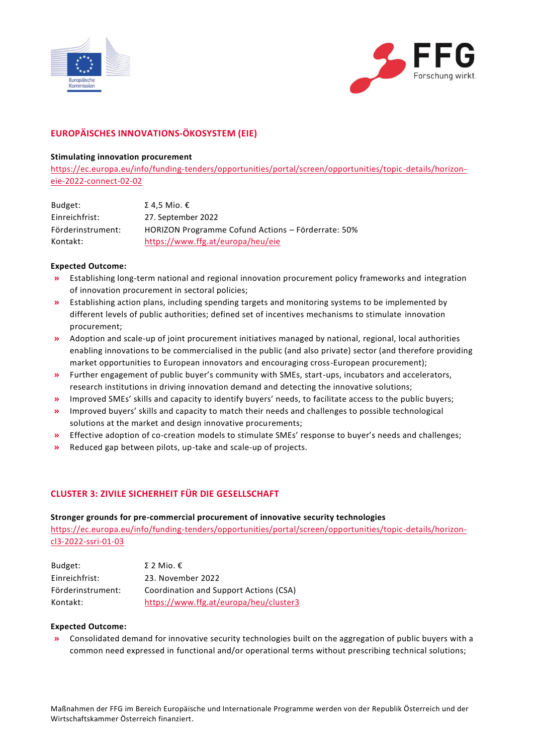



## **EUROPÄISCHES INNOVATIONS-ÖKOSYSTEM (EIE)**

### **Stimulating innovation procurement**

[https://ec.europa.eu/info/funding-tenders/opportunities/portal/screen/opportunities/topic-details/horizon](https://ec.europa.eu/info/funding-tenders/opportunities/portal/screen/opportunities/topic-details/horizon-eie-2022-connect-02-02)[eie-2022-connect-02-02](https://ec.europa.eu/info/funding-tenders/opportunities/portal/screen/opportunities/topic-details/horizon-eie-2022-connect-02-02)

| Budget:           | Σ 4.5 Mio. $\epsilon$                              |
|-------------------|----------------------------------------------------|
| Einreichfrist:    | 27. September 2022                                 |
| Förderinstrument: | HORIZON Programme Cofund Actions - Förderrate: 50% |
| Kontakt:          | https://www.ffg.at/europa/heu/eie                  |

### **Expected Outcome:**

- **»** Establishing long-term national and regional innovation procurement policy frameworks and integration of innovation procurement in sectoral policies;
- **»** Establishing action plans, including spending targets and monitoring systems to be implemented by different levels of public authorities; defined set of incentives mechanisms to stimulate innovation procurement;
- **»** Adoption and scale-up of joint procurement initiatives managed by national, regional, local authorities enabling innovations to be commercialised in the public (and also private) sector (and therefore providing market opportunities to European innovators and encouraging cross-European procurement);
- **»** Further engagement of public buyer's community with SMEs, start-ups, incubators and accelerators, research institutions in driving innovation demand and detecting the innovative solutions;
- **»** Improved SMEs' skills and capacity to identify buyers' needs, to facilitate access to the public buyers;
- **»** Improved buyers' skills and capacity to match their needs and challenges to possible technological solutions at the market and design innovative procurements;
- **»** Effective adoption of co-creation models to stimulate SMEs' response to buyer's needs and challenges;
- **»** Reduced gap between pilots, up-take and scale-up of projects.

### **CLUSTER 3: ZIVILE SICHERHEIT FÜR DIE GESELLSCHAFT**

### **Stronger grounds for pre-commercial procurement of innovative security technologies**

[https://ec.europa.eu/info/funding-tenders/opportunities/portal/screen/opportunities/topic-details/horizon](https://ec.europa.eu/info/funding-tenders/opportunities/portal/screen/opportunities/topic-details/horizon-cl3-2022-ssri-01-03)[cl3-2022-ssri-01-03](https://ec.europa.eu/info/funding-tenders/opportunities/portal/screen/opportunities/topic-details/horizon-cl3-2022-ssri-01-03)

| Budget:           | Σ 2 Mio. $ε$                           |
|-------------------|----------------------------------------|
| Einreichfrist:    | 23. November 2022                      |
| Förderinstrument: | Coordination and Support Actions (CSA) |
| Kontakt:          | https://www.ffg.at/europa/heu/cluster3 |

### **Expected Outcome:**

**»** Consolidated demand for innovative security technologies built on the aggregation of public buyers with a common need expressed in functional and/or operational terms without prescribing technical solutions;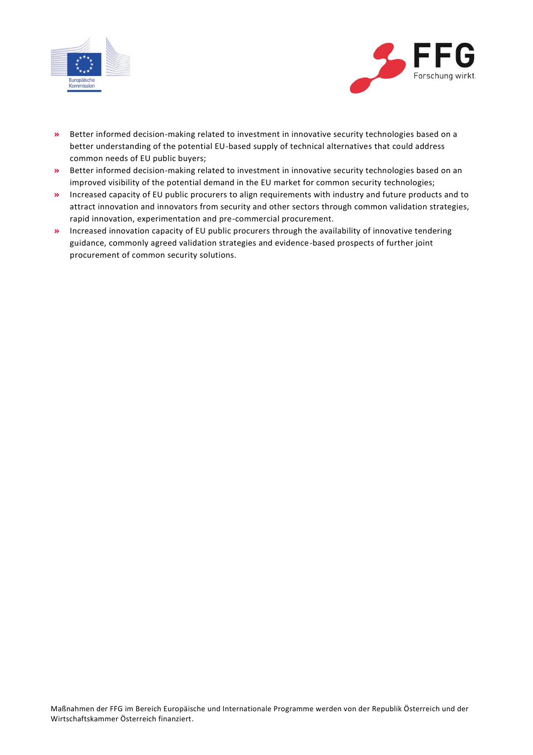



- **»** Better informed decision-making related to investment in innovative security technologies based on a better understanding of the potential EU-based supply of technical alternatives that could address common needs of EU public buyers;
- **»** Better informed decision-making related to investment in innovative security technologies based on an improved visibility of the potential demand in the EU market for common security technologies;
- **»** Increased capacity of EU public procurers to align requirements with industry and future products and to attract innovation and innovators from security and other sectors through common validation strategies, rapid innovation, experimentation and pre-commercial procurement.
- **»** Increased innovation capacity of EU public procurers through the availability of innovative tendering guidance, commonly agreed validation strategies and evidence-based prospects of further joint procurement of common security solutions.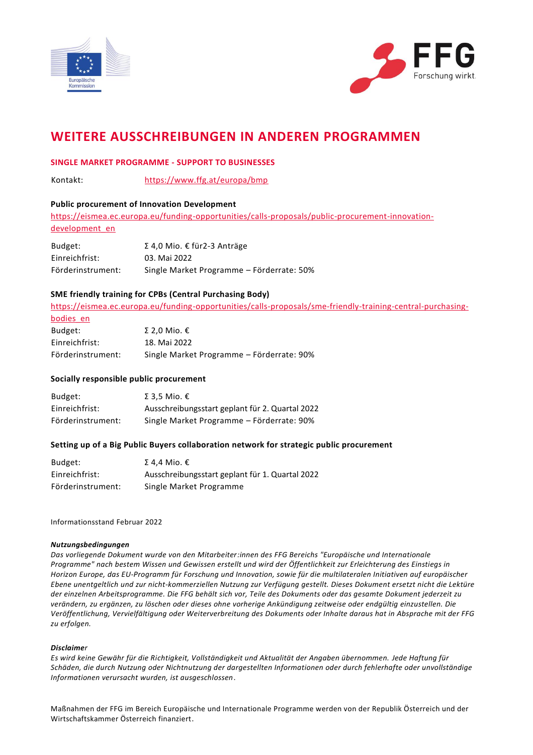



# **WEITERE AUSSCHREIBUNGEN IN ANDEREN PROGRAMMEN**

### **SINGLE MARKET PROGRAMME - SUPPORT TO BUSINESSES**

Kontakt: <https://www.ffg.at/europa/bmp>

### **Public procurement of Innovation Development**

[https://eismea.ec.europa.eu/funding-opportunities/calls-proposals/public-procurement-innovation](https://eismea.ec.europa.eu/funding-opportunities/calls-proposals/public-procurement-innovation-development_en)[development\\_en](https://eismea.ec.europa.eu/funding-opportunities/calls-proposals/public-procurement-innovation-development_en)

| Budget:           | Σ 4,0 Mio. € für2-3 Anträge               |
|-------------------|-------------------------------------------|
| Einreichfrist:    | 03. Mai 2022                              |
| Förderinstrument: | Single Market Programme – Förderrate: 50% |

### **SME friendly training for CPBs (Central Purchasing Body)**

[https://eismea.ec.europa.eu/funding-opportunities/calls-proposals/sme-friendly-training-central-purchasing-](https://eismea.ec.europa.eu/funding-opportunities/calls-proposals/sme-friendly-training-central-purchasing-bodies_en)

| bodies en         |                                           |
|-------------------|-------------------------------------------|
| Budget:           | Σ 2.0 Mio. $ε$                            |
| Einreichfrist:    | 18. Mai 2022                              |
| Förderinstrument: | Single Market Programme – Förderrate: 90% |

### **Socially responsible public procurement**

| Budget:           | Σ 3.5 Mio. $ε$                                  |
|-------------------|-------------------------------------------------|
| Einreichfrist:    | Ausschreibungsstart geplant für 2. Quartal 2022 |
| Förderinstrument: | Single Market Programme – Förderrate: 90%       |

### **Setting up of a Big Public Buyers collaboration network for strategic public procurement**

| Budget:           | Σ 4,4 Mio. €                                    |
|-------------------|-------------------------------------------------|
| Einreichfrist:    | Ausschreibungsstart geplant für 1. Quartal 2022 |
| Förderinstrument: | Single Market Programme                         |

### Informationsstand Februar 2022

### *Nutzungsbedingungen*

*Das vorliegende Dokument wurde von den Mitarbeiter:innen des FFG Bereichs "Europäische und Internationale Programme" nach bestem Wissen und Gewissen erstellt und wird der Öffentlichkeit zur Erleichterung des Einstiegs in Horizon Europe, das EU-Programm für Forschung und Innovation, sowie für die multilateralen Initiativen auf europäischer Ebene unentgeltlich und zur nicht-kommerziellen Nutzung zur Verfügung gestellt. Dieses Dokument ersetzt nicht die Lektüre der einzelnen Arbeitsprogramme. Die FFG behält sich vor, Teile des Dokuments oder das gesamte Dokument jederzeit zu verändern, zu ergänzen, zu löschen oder dieses ohne vorherige Ankündigung zeitweise oder endgültig einzustellen. Die Veröffentlichung, Vervielfältigung oder Weiterverbreitung des Dokuments oder Inhalte daraus hat in Absprache mit der FFG zu erfolgen.*

### *Disclaimer*

*Es wird keine Gewähr für die Richtigkeit, Vollständigkeit und Aktualität der Angaben übernommen. Jede Haftung für Schäden, die durch Nutzung oder Nichtnutzung der dargestellten Informationen oder durch fehlerhafte oder unvollständige Informationen verursacht wurden, ist ausgeschlossen*.

Maßnahmen der FFG im Bereich Europäische und Internationale Programme werden von der Republik Österreich und der Wirtschaftskammer Österreich finanziert.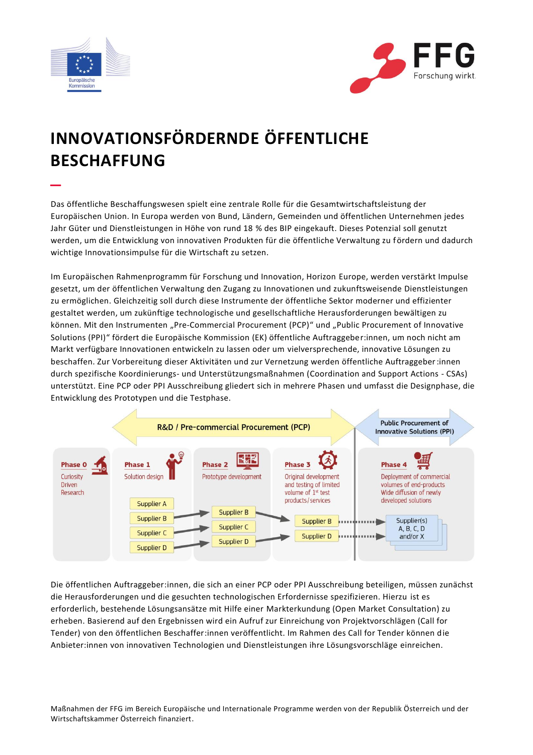

–



# **INNOVATIONSFÖRDERNDE ÖFFENTLICHE BESCHAFFUNG**

Das öffentliche Beschaffungswesen spielt eine zentrale Rolle für die Gesamtwirtschaftsleistung der Europäischen Union. In Europa werden von Bund, Ländern, Gemeinden und öffentlichen Unternehmen jedes Jahr Güter und Dienstleistungen in Höhe von rund 18 % des BIP eingekauft. Dieses Potenzial soll genutzt werden, um die Entwicklung von innovativen Produkten für die öffentliche Verwaltung zu fördern und dadurch wichtige Innovationsimpulse für die Wirtschaft zu setzen.

Im Europäischen Rahmenprogramm für Forschung und Innovation, Horizon Europe, werden verstärkt Impulse gesetzt, um der öffentlichen Verwaltung den Zugang zu Innovationen und zukunftsweisende Dienstleistungen zu ermöglichen. Gleichzeitig soll durch diese Instrumente der öffentliche Sektor moderner und effizienter gestaltet werden, um zukünftige technologische und gesellschaftliche Herausforderungen bewältigen zu können. Mit den Instrumenten "Pre-Commercial Procurement (PCP)" und "Public Procurement of Innovative Solutions (PPI)" fördert die Europäische Kommission (EK) öffentliche Auftraggeber:innen, um noch nicht am Markt verfügbare Innovationen entwickeln zu lassen oder um vielversprechende, innovative Lösungen zu beschaffen. Zur Vorbereitung dieser Aktivitäten und zur Vernetzung werden öffentliche Auftraggeber:innen durch spezifische Koordinierungs- und Unterstützungsmaßnahmen (Coordination and Support Actions - CSAs) unterstützt. Eine PCP oder PPI Ausschreibung gliedert sich in mehrere Phasen und umfasst die Designphase, die Entwicklung des Prototypen und die Testphase.



Die öffentlichen Auftraggeber:innen, die sich an einer PCP oder PPI Ausschreibung beteiligen, müssen zunächst die Herausforderungen und die gesuchten technologischen Erfordernisse spezifizieren. Hierzu ist es erforderlich, bestehende Lösungsansätze mit Hilfe einer Markterkundung (Open Market Consultation) zu erheben. Basierend auf den Ergebnissen wird ein Aufruf zur Einreichung von Projektvorschlägen (Call for Tender) von den öffentlichen Beschaffer:innen veröffentlicht. Im Rahmen des Call for Tender können die Anbieter:innen von innovativen Technologien und Dienstleistungen ihre Lösungsvorschläge einreichen.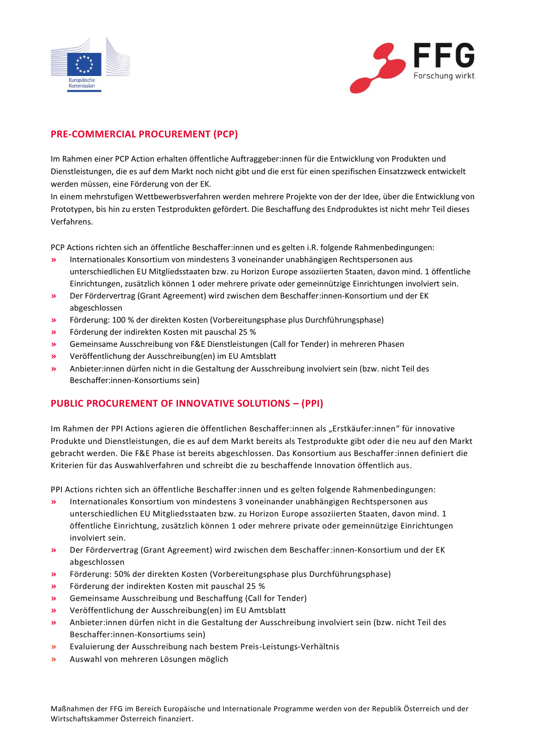



# **PRE-COMMERCIAL PROCUREMENT (PCP)**

Im Rahmen einer PCP Action erhalten öffentliche Auftraggeber:innen für die Entwicklung von Produkten und Dienstleistungen, die es auf dem Markt noch nicht gibt und die erst für einen spezifischen Einsatzzweck entwickelt werden müssen, eine Förderung von der EK.

In einem mehrstufigen Wettbewerbsverfahren werden mehrere Projekte von der der Idee, über die Entwicklung von Prototypen, bis hin zu ersten Testprodukten gefördert. Die Beschaffung des Endproduktes ist nicht mehr Teil dieses Verfahrens.

PCP Actions richten sich an öffentliche Beschaffer:innen und es gelten i.R. folgende Rahmenbedingungen:

- **»** Internationales Konsortium von mindestens 3 voneinander unabhängigen Rechtspersonen aus unterschiedlichen EU Mitgliedsstaaten bzw. zu Horizon Europe assoziierten Staaten, davon mind. 1 öffentliche Einrichtungen, zusätzlich können 1 oder mehrere private oder gemeinnützige Einrichtungen involviert sein.
- **»** Der Fördervertrag (Grant Agreement) wird zwischen dem Beschaffer:innen-Konsortium und der EK abgeschlossen
- **»** Förderung: 100 % der direkten Kosten (Vorbereitungsphase plus Durchführungsphase)
- **»** Förderung der indirekten Kosten mit pauschal 25 %
- **»** Gemeinsame Ausschreibung von F&E Dienstleistungen (Call for Tender) in mehreren Phasen
- **»** Veröffentlichung der Ausschreibung(en) im EU Amtsblatt
- **»** Anbieter:innen dürfen nicht in die Gestaltung der Ausschreibung involviert sein (bzw. nicht Teil des Beschaffer:innen-Konsortiums sein)

### **PUBLIC PROCUREMENT OF INNOVATIVE SOLUTIONS – (PPI)**

Im Rahmen der PPI Actions agieren die öffentlichen Beschaffer:innen als "Erstkäufer:innen" für innovative Produkte und Dienstleistungen, die es auf dem Markt bereits als Testprodukte gibt oder die neu auf den Markt gebracht werden. Die F&E Phase ist bereits abgeschlossen. Das Konsortium aus Beschaffer:innen definiert die Kriterien für das Auswahlverfahren und schreibt die zu beschaffende Innovation öffentlich aus.

PPI Actions richten sich an öffentliche Beschaffer:innen und es gelten folgende Rahmenbedingungen:

- **»** Internationales Konsortium von mindestens 3 voneinander unabhängigen Rechtspersonen aus unterschiedlichen EU Mitgliedsstaaten bzw. zu Horizon Europe assoziierten Staaten, davon mind. 1 öffentliche Einrichtung, zusätzlich können 1 oder mehrere private oder gemeinnützige Einrichtungen involviert sein.
- **»** Der Fördervertrag (Grant Agreement) wird zwischen dem Beschaffer:innen-Konsortium und der EK abgeschlossen
- **»** Förderung: 50% der direkten Kosten (Vorbereitungsphase plus Durchführungsphase)
- **»** Förderung der indirekten Kosten mit pauschal 25 %
- **»** Gemeinsame Ausschreibung und Beschaffung (Call for Tender)
- **»** Veröffentlichung der Ausschreibung(en) im EU Amtsblatt
- **»** Anbieter:innen dürfen nicht in die Gestaltung der Ausschreibung involviert sein (bzw. nicht Teil des Beschaffer:innen-Konsortiums sein)
- **»** Evaluierung der Ausschreibung nach bestem Preis-Leistungs-Verhältnis
- **»** Auswahl von mehreren Lösungen möglich